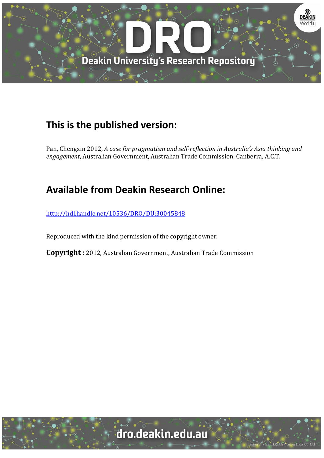

## **This is the published version:**

Pan, Chengxin 2012, *A case for pragmatism and self‐reflection in Australia's Asia thinking and* engagement, Australian Government, Australian Trade Commission, Canberra, A.C.T.

## **Available from Deakin Research Online:**

http://hdl.handle.net/10536/DRO/DU:30045848

Reproduced with the kind permission of the copyright owner.

**Copyright** : 2012, Australian Government, Australian Trade Commission

# dro.deakin.edu.au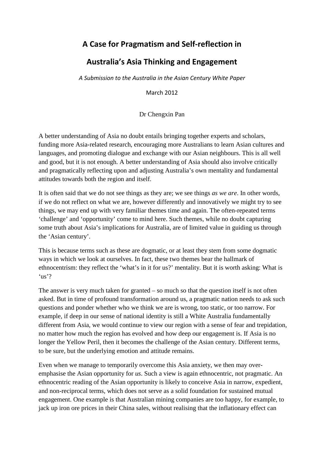### **A Case for Pragmatism and Self-reflection in**

#### **Australia's Asia Thinking and Engagement**

*A Submission to the Australia in the Asian Century White Paper*

March 2012

Dr Chengxin Pan

A better understanding of Asia no doubt entails bringing together experts and scholars, funding more Asia-related research, encouraging more Australians to learn Asian cultures and languages, and promoting dialogue and exchange with our Asian neighbours. This is all well and good, but it is not enough. A better understanding of Asia should also involve critically and pragmatically reflecting upon and adjusting Australia's own mentality and fundamental attitudes towards both the region and itself.

It is often said that we do not see things as they are; we see things *as we are*. In other words, if we do not reflect on what we are, however differently and innovatively we might try to see things, we may end up with very familiar themes time and again. The often-repeated terms 'challenge' and 'opportunity' come to mind here. Such themes, while no doubt capturing some truth about Asia's implications for Australia, are of limited value in guiding us through the 'Asian century'.

This is because terms such as these are dogmatic, or at least they stem from some dogmatic ways in which we look at ourselves. In fact, these two themes bear the hallmark of ethnocentrism: they reflect the 'what's in it for us?' mentality. But it is worth asking: What is 'us'?

The answer is very much taken for granted – so much so that the question itself is not often asked. But in time of profound transformation around us, a pragmatic nation needs to ask such questions and ponder whether who we think we are is wrong, too static, or too narrow. For example, if deep in our sense of national identity is still a White Australia fundamentally different from Asia, we would continue to view our region with a sense of fear and trepidation, no matter how much the region has evolved and how deep our engagement is. If Asia is no longer the Yellow Peril, then it becomes the challenge of the Asian century. Different terms, to be sure, but the underlying emotion and attitude remains.

Even when we manage to temporarily overcome this Asia anxiety, we then may overemphasise the Asian opportunity for *us*. Such a view is again ethnocentric, not pragmatic. An ethnocentric reading of the Asian opportunity is likely to conceive Asia in narrow, expedient, and non-reciprocal terms, which does not serve as a solid foundation for sustained mutual engagement. One example is that Australian mining companies are too happy, for example, to jack up iron ore prices in their China sales, without realising that the inflationary effect can